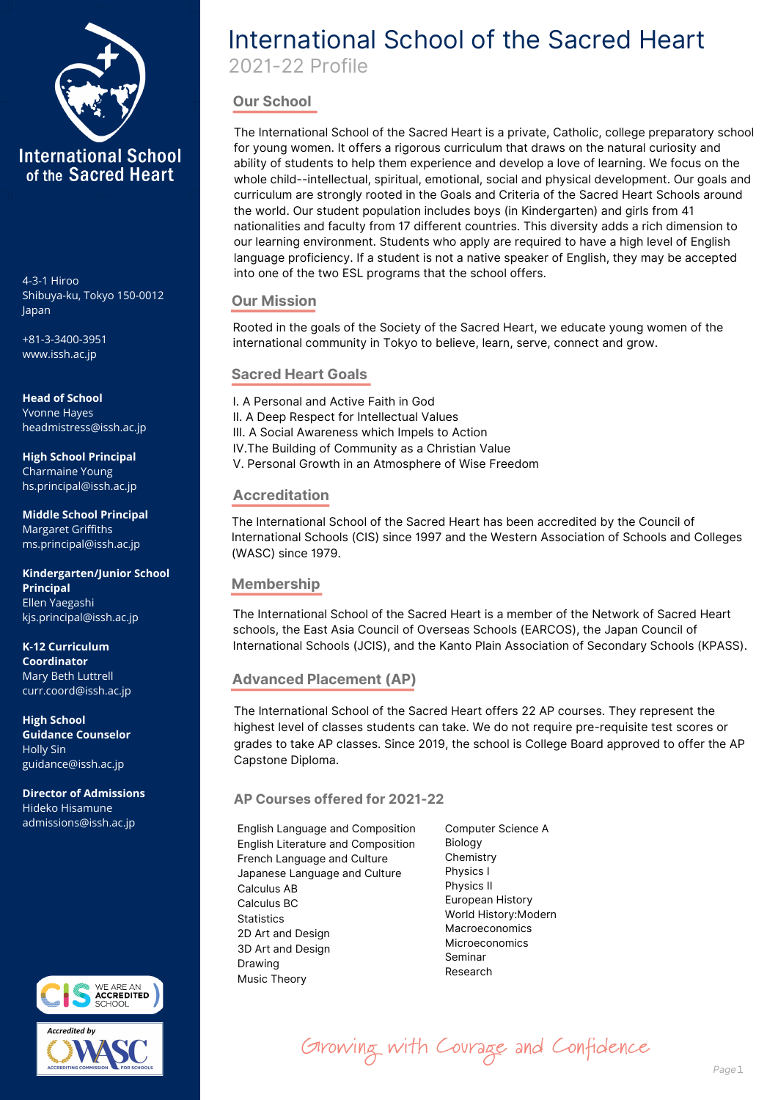

Shibuya-ku, Tokyo 150-0012 Japan

+81-3-3400-3951 www.issh.ac.jp

**Head of School** Yvonne Hayes headmistress@issh.ac.jp

**High School Principal** Charmaine Young hs.principal@issh.ac.jp

**Middle School Principal** Margaret Griffiths ms.principal@issh.ac.jp

**Kindergarten/Junior School Principal** Ellen Yaegashi kjs.principal@issh.ac.jp

**K-12 Curriculum Coordinator** Mary Beth Luttrell curr.coord@issh.ac.jp

**High School Guidance Counselor** Holly Sin guidance@issh.ac.jp

**Director of Admissions** Hideko Hisamune admissions@issh.ac.jp



# International School of the Sacred Heart

2021-22 Profile

## **Our School**

The International School of the Sacred Heart is a private, Catholic, college preparatory school for young women. It offers a rigorous curriculum that draws on the natural curiosity and ability of students to help them experience and develop a love of learning. We focus on the whole child--intellectual, spiritual, emotional, social and physical development. Our goals and curriculum are strongly rooted in the Goals and Criteria of the Sacred Heart Schools around the world. Our student population includes boys (in Kindergarten) and girls from 41 nationalities and faculty from 17 different countries. This diversity adds a rich dimension to our learning environment. Students who apply are required to have a high level of English language proficiency. If a student is not a native speaker of English, they may be accepted into one of the two ESL programs that the school offers. 4-3-1 Hiroo

## **Our Mission**

Rooted in the goals of the Society of the Sacred Heart, we educate young women of the international community in Tokyo to believe, learn, serve, connect and grow.

## **Sacred Heart Goals**

I. A Personal and Active Faith in God II. A Deep Respect for Intellectual Values III. A Social Awareness which Impels to Action IV.The Building of Community as a Christian Value V. Personal Growth in an Atmosphere of Wise Freedom

## **Accreditation**

The International School of the Sacred Heart has been accredited by the Council of International Schools (CIS) since 1997 and the Western Association of Schools and Colleges (WASC) since 1979.

## **Membership**

The International School of the Sacred Heart is a member of the Network of Sacred Heart schools, the East Asia Council of Overseas Schools (EARCOS), the Japan Council of International Schools (JCIS), and the Kanto Plain Association of Secondary Schools (KPASS).

## **Advanced Placement (AP)**

The International School of the Sacred Heart offers 22 AP courses. They represent the highest level of classes students can take. We do not require pre-requisite test scores or grades to take AP classes. Since 2019, the school is College Board approved to offer the AP Capstone Diploma.

## **AP Courses offered for 2021-22**

English Language and Composition English Literature and Composition French Language and Culture Japanese Language and Culture Calculus AB Calculus BC **Statistics** 2D Art and Design 3D Art and Design Drawing Music Theory

Computer Science A Biology **Chemistry** Physics I Physics II European History World History:Modern Macroeconomics Microeconomics Seminar Research

Girowing with Courage and Confidence